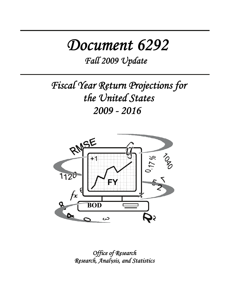# *Document 6292*

*Fall 2009 Update*

*Fiscal Year Return Projections for the United States 2009 - 2016* 



*Office of Research Research, Analysis, and Statistics*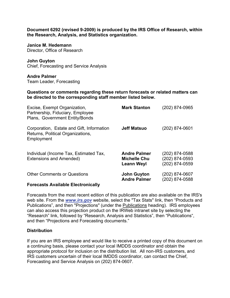**Document 6292 (revised 9-2009) is produced by the IRS Office of Research, within the Research, Analysis, and Statistics organization.** 

**Janice M. Hedemann**  Director, Office of Research

**John Guyton**  Chief, Forecasting and Service Analysis

**Andre Palmer**  Team Leader, Forecasting

**Questions or comments regarding these return forecasts or related matters can be directed to the corresponding staff member listed below.** 

| Excise, Exempt Organization,<br>Partnership, Fiduciary, Employee<br>Plans, Government Entity/Bonds | <b>Mark Stanton</b>                                             | (202) 874-0965                                     |
|----------------------------------------------------------------------------------------------------|-----------------------------------------------------------------|----------------------------------------------------|
| Corporation, Estate and Gift, Information<br>Returns, Political Organizations,<br>Employment       | <b>Jeff Matsuo</b>                                              | (202) 874-0601                                     |
| Individual (Income Tax, Estimated Tax,<br>Extensions and Amended)                                  | <b>Andre Palmer</b><br><b>Michelle Chu</b><br><b>Leann Weyl</b> | (202) 874-0588<br>(202) 874-0593<br>(202) 874-0559 |
| <b>Other Comments or Questions</b>                                                                 | <b>John Guyton</b><br><b>Andre Palmer</b>                       | (202) 874-0607<br>(202) 874-0588                   |
| <b>Forecasts Available Electronically</b>                                                          |                                                                 |                                                    |

Forecasts from the most recent edition of this publication are also available on the IRS's web site. From the *www.irs.gov* website, select the "Tax Stats" link, then "Products and Publications", and then "Projections" (under the Publications heading). IRS employees can also access this projection product on the IRWeb intranet site by selecting the "Research" link, followed by "Research, Analysis and Statistics", then "Publications", and then "Projections and Forecasting documents."

#### **Distribution**

If you are an IRS employee and would like to receive a printed copy of this document on a continuing basis, please contact your local IMDDS coordinator and obtain the appropriate protocol for inclusion on the distribution list. All non-IRS customers, and IRS customers uncertain of their local IMDDS coordinator, can contact the Chief, Forecasting and Service Analysis on (202) 874-0607.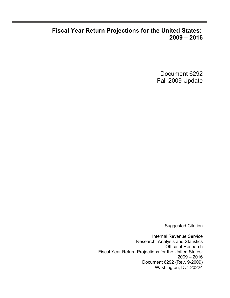## **Fiscal Year Return Projections for the United States**: **2009 – 2016**

Document 6292 Fall 2009 Update

Suggested Citation

Internal Revenue Service Research, Analysis and Statistics Office of Research Fiscal Year Return Projections for the United States: 2009 – 2016 Document 6292 (Rev. 9-2009) Washington, DC 20224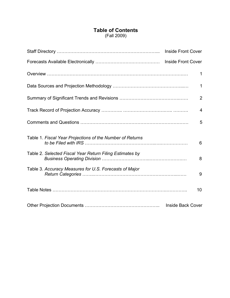### **Table of Contents** (Fall 2009)

|                                                           | 1                        |
|-----------------------------------------------------------|--------------------------|
|                                                           | $\mathbf{1}$             |
|                                                           | $\overline{2}$           |
|                                                           | $\overline{4}$           |
|                                                           | 5                        |
| Table 1. Fiscal Year Projections of the Number of Returns | 6                        |
| Table 2. Selected Fiscal Year Return Filing Estimates by  | 8                        |
| Table 3. Accuracy Measures for U.S. Forecasts of Major    | 9                        |
|                                                           | 10                       |
|                                                           | <b>Inside Back Cover</b> |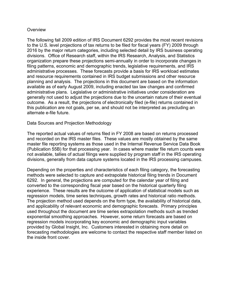#### **Overview**

The following fall 2009 edition of IRS Document 6292 provides the most recent revisions to the U.S. level projections of tax returns to be filed for fiscal years (FY) 2009 through 2016 by the major return categories, including selected detail by IRS business operating divisions. Office of Research staff, within the IRS Research, Analysis, and Statistics organization prepare these projections semi-annually in order to incorporate changes in filing patterns, economic and demographic trends, legislative requirements, and IRS administrative processes. These forecasts provide a basis for IRS workload estimates and resource requirements contained in IRS budget submissions and other resource planning and analysis. The projections in this document are based on the information available as of early August 2009, including enacted tax law changes and confirmed administrative plans. Legislative or administrative initiatives under consideration are generally not used to adjust the projections due to the uncertain nature of their eventual outcome. As a result, the projections of electronically filed (e-file) returns contained in this publication are not goals, per se, and should not be interpreted as precluding an alternate e-file future.

#### Data Sources and Projection Methodology

The reported actual values of returns filed in FY 2008 are based on returns processed and recorded on the IRS master files. These values are mostly obtained by the same master file reporting systems as those used in the Internal Revenue Service Data Book (Publication 55B) for that processing year. In cases where master file return counts were not available, tallies of actual filings were supplied by program staff in the IRS operating divisions, generally from data capture systems located in the IRS processing campuses.

Depending on the properties and characteristics of each filing category, the forecasting methods were selected to capture and extrapolate historical filing trends in Document 6292. In general, the projections are computed for the calendar year of filing and converted to the corresponding fiscal year based on the historical quarterly filing experience. These results are the outcome of application of statistical models such as regression models, time series techniques, growth rates and historical ratio methods. The projection method used depends on the form type, the availability of historical data, and applicability of relevant economic and demographic forecasts. Primary principles used throughout the document are time series extrapolation methods such as trended exponential smoothing approaches. However, some return forecasts are based on regression models incorporating key economic and demographic input variables provided by Global Insight, Inc. Customers interested in obtaining more detail on forecasting methodologies are welcome to contact the respective staff member listed on the inside front cover.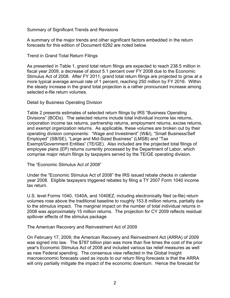Summary of Significant Trends and Revisions

A summary of the major trends and other significant factors embedded in the return forecasts for this edition of Document 6292 are noted below.

Trend in Grand Total Return Filings

As presented in Table 1, grand total return filings are expected to reach 238.5 million in fiscal year 2009, a decrease of about 5.1 percent over FY 2008 due to the Economic Stimulus Act of 2008. After FY 2011, grand total return filings are projected to grow at a more typical average annual rate of 1 percent, reaching 250 million by FY 2016. Within the steady increase in the grand total projection is a rather pronounced increase among selected e-file return volumes.

Detail by Business Operating Division

Table 2 presents estimates of selected return filings by IRS "Business Operating Divisions" (BODs). The selected returns include total individual income tax returns, corporation income tax returns, partnership returns, employment returns, excise returns, and exempt organization returns. As applicable, these volumes are broken out by their operating division components: "Wage and Investment" (W&I), "Small Business/Self Employed" (SB/SE), "Large and Mid-Sized Business" (LMSB) and "Tax Exempt/Government Entities" (TE/GE). Also included are the projected total filings of employee plans (EP) returns currently processed by the Department of Labor, which comprise major return filings by taxpayers served by the TE/GE operating division.

The "Economic Stimulus Act of 2008"

Under the "Economic Stimulus Act of 2008" the IRS issued rebate checks in calendar year 2008. Eligible taxpayers triggered rebates by filing a TY 2007 Form 1040 income tax return.

U.S. level Forms 1040, 1040A, and 1040EZ, including electronically filed (e-file) return volumes rose above the traditional baseline to roughly 153.8 million returns, partially due to the stimulus impact. The marginal impact on the number of total individual returns in 2008 was approximately 15 million returns. The projection for CY 2009 reflects residual spillover effects of the stimulus package

The American Recovery and Reinvestment Act of 2009

On February 17, 2009, the American Recovery and Reinvestment Act (ARRA) of 2009 was signed into law. The \$787 billion plan was more than five times the cost of the prior year's Economic Stimulus Act of 2008 and included various tax relief measures as well as new Federal spending. The consensus view reflected in the Global Insight macroeconomic forecasts used as inputs to our return filing forecasts is that the ARRA will only partially mitigate the impact of the economic downturn. Hence the forecast for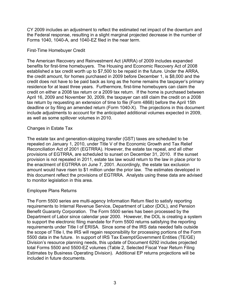CY 2009 includes an adjustment to reflect the estimated net impact of the downturn and the Federal response, resulting in a slight marginal projected decrease in the number of Forms 1040, 1040-A, and 1040-EZ filed in the near term.

#### First-Time Homebuyer Credit

The American Recovery and Reinvestment Act (ARRA) of 2009 includes expanded benefits for first-time homebuyers. The Housing and Economic Recovery Act of 2008 established a tax credit worth up to \$7,500 to be repaid in the future. Under the ARRA, the credit amount, for homes purchased in 2009 before December 1, is \$8,000 and the credit does not have to be paid back as long as the home remains the taxpayer's primary residence for at least three years. Furthermore, first-time homebuyers can claim the credit on either a 2008 tax return or a 2009 tax return. If the home is purchased between April 16, 2009 and November 30, 2009, the taxpayer can still claim the credit on a 2008 tax return by requesting an extension of time to file (Form 4868) before the April 15th deadline or by filing an amended return (Form 1040-X). The projections in this document include adjustments to account for the anticipated additional volumes expected in 2009, as well as some spillover volumes in 2010.

#### Changes in Estate Tax

The estate tax and generation-skipping transfer (GST) taxes are scheduled to be repealed on January 1, 2010, under Title V of the Economic Growth and Tax Relief Reconciliation Act of 2001 (EGTRRA). However, the estate tax repeal, and all other provisions of EGTRRA, are scheduled to sunset on December 31, 2010. If the sunset provision is not repealed in 2011, estate tax law would return to the law in place prior to the enactment of EGTRRA on June 7, 2001. Accordingly, the estate tax exclusion amount would have risen to \$1 million under the prior law. The estimates developed in this document reflect the provisions of EGTRRA. Analysts using these data are advised to monitor legislation in this area.

#### Employee Plans Returns

The Form 5500 series are multi-agency Information Return filed to satisfy reporting requirements to Internal Revenue Service, Department of Labor (DOL), and Pension Benefit Guaranty Corporation. The Form 5500 series has been processed by the Department of Labor since calendar year 2000. However, the DOL is creating a system to support the electronic filing mandate for Form 5500 returns satisfying the reporting requirements under Title I of ERISA. Since some of the IRS data needed falls outside the scope of Title I, the IRS will regain responsibility for processing portions of the Form 5500 data in the future. In support of IRS Tax Exempt/Government Entities (TE/GE) Division's resource planning needs, this update of Document 6292 includes projected total Forms 5500 and 5500-EZ volumes (Table 2, Selected Fiscal Year Return Filing Estimates by Business Operating Division). Additional EP returns projections will be included in future documents.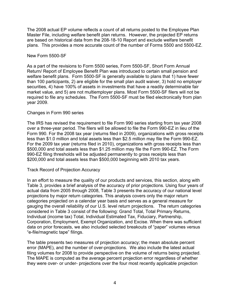The 2008 actual EP volume reflects a count of all returns posted to the Employee Plan Master File, including welfare benefit plan returns. However, the projected EP returns are based on historical data from the 208-18-10 Report and exclude welfare benefit plans. This provides a more accurate count of the number of Forms 5500 and 5500-EZ.

#### New Form 5500-SF

As a part of the revisions to Form 5500 series, Form 5500-SF, Short Form Annual Return/ Report of Employee Benefit Plan was introduced to certain small pension and welfare benefit plans. Form 5500-SF is generally available to plans that 1) have fewer than 100 participants, 2) are eligible for the small plan audit waiver, 3) hold no employer securities, 4) have 100% of assets in investments that have a readily determinable fair market value, and 5) are not multiemployer plans. Most Form 5500-SF filers will not be required to file any schedules. The Form 5500-SF must be filed electronically from plan year 2009.

#### Changes in Form 990 series

The IRS has revised the requirement to file Form 990 series starting from tax year 2008 over a three-year period. The filers will be allowed to file the Form 990-EZ in lieu of the Form 990. For the 2008 tax year (returns filed in 2009), organizations with gross receipts less than \$1.0 million and total assets less than \$2.5 million may file the Form 990-EZ. For the 2009 tax year (returns filed in 2010), organizations with gross receipts less than \$500,000 and total assets less than \$1.25 million may file the Form 990-EZ. The Form 990-EZ filing thresholds will be adjusted permanently to gross receipts less than \$200,000 and total assets less than \$500,000 beginning with 2010 tax years.

#### Track Record of Projection Accuracy

In an effort to measure the quality of our products and services, this section, along with Table 3, provides a brief analysis of the accuracy of prior projections. Using four years of actual data from 2005 through 2008, Table 3 presents the accuracy of our national level projections by major return categories. This analysis covers only the major return categories projected on a calendar year basis and serves as a general measure for gauging the overall reliability of our U.S. level return projections. The return categories considered in Table 3 consist of the following: Grand Total, Total Primary Returns, Individual (income tax) Total, Individual Estimated Tax, Fiduciary, Partnership, Corporation, Employment, Exempt Organization, and Excise. When there was sufficient data on prior forecasts, we also included selected breakouts of "paper" volumes versus "e-file/magnetic tape" filings.

The table presents two measures of projection accuracy; the mean absolute percent error (MAPE), and the number of over-projections. We also include the latest actual filing volumes for 2008 to provide perspective on the volume of returns being projected. The MAPE is computed as the average percent projection error regardless of whether they were over- or under- projections over the four most recently applicable projection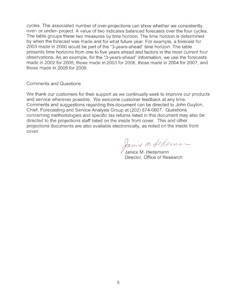cycles. The associated number of over-projections can show whether we consistently over- or under- project. A value of two indicates balanced forecasts over the four cycles. The table groups these two measures by time horizon. The time horizon is determined by when the forecast was made and for what future year. For example, a forecast for 2003 made in 2000 would be part of the "3-years-ahead" time horizon. The table presents time horizons from one to five years ahead and factors in the most current four observations. As an example, for the "3-years-ahead" information, we use the forecasts made in 2002 for 2005, those made in 2003 for 2006, those made in 2004 for 2007, and those made in 2005 for 2008.

#### **Comments and Questions**

We thank our customers for their support as we continually seek to improve our products and service wherever possible. We welcome customer feedback at any time. Comments and suggestions regarding this document can be directed to John Guyton, Chief, Forecasting and Service Analysis Group at (202) 874-0607. Questions concerning methodologies and specific tax returns listed in this document may also be directed to the projections staff listed on the inside front cover. This and other projections documents are also available electronically, as noted on the inside front cover.

Janie M. Sedeman

Janice M. Hedemann Director, Office of Research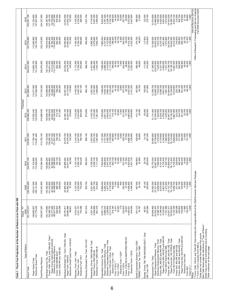| Table 1. Fiscal Year Projections of the Number of Returns to be Filed with IRS                                                                                                                                                                                                                                                                                                                                                                                                                                                                                                                                                                                                                                                                                                                                                                                    |                                                                                                                                                                                    |                                                                                                                                                                                        |                                                                                                                                                                                                           |                                                                                                                                                                                      |                                                                                                                                                                                     |                                                                                                                                                                                     |                                                                                                                                                                                     |                                                                                                                                                                                                            |                                                                                                                                                                                                                                                                                                    |
|-------------------------------------------------------------------------------------------------------------------------------------------------------------------------------------------------------------------------------------------------------------------------------------------------------------------------------------------------------------------------------------------------------------------------------------------------------------------------------------------------------------------------------------------------------------------------------------------------------------------------------------------------------------------------------------------------------------------------------------------------------------------------------------------------------------------------------------------------------------------|------------------------------------------------------------------------------------------------------------------------------------------------------------------------------------|----------------------------------------------------------------------------------------------------------------------------------------------------------------------------------------|-----------------------------------------------------------------------------------------------------------------------------------------------------------------------------------------------------------|--------------------------------------------------------------------------------------------------------------------------------------------------------------------------------------|-------------------------------------------------------------------------------------------------------------------------------------------------------------------------------------|-------------------------------------------------------------------------------------------------------------------------------------------------------------------------------------|-------------------------------------------------------------------------------------------------------------------------------------------------------------------------------------|------------------------------------------------------------------------------------------------------------------------------------------------------------------------------------------------------------|----------------------------------------------------------------------------------------------------------------------------------------------------------------------------------------------------------------------------------------------------------------------------------------------------|
|                                                                                                                                                                                                                                                                                                                                                                                                                                                                                                                                                                                                                                                                                                                                                                                                                                                                   | Actual - FY<br>2008                                                                                                                                                                |                                                                                                                                                                                        |                                                                                                                                                                                                           |                                                                                                                                                                                      | Projected                                                                                                                                                                           |                                                                                                                                                                                     |                                                                                                                                                                                     |                                                                                                                                                                                                            |                                                                                                                                                                                                                                                                                                    |
| Type of Return<br>Grand Total                                                                                                                                                                                                                                                                                                                                                                                                                                                                                                                                                                                                                                                                                                                                                                                                                                     | 251,475,273                                                                                                                                                                        | 238,543,000<br>2009                                                                                                                                                                    | 234,975,100<br>2010                                                                                                                                                                                       | 235,851,500<br>2011                                                                                                                                                                  | 238,588,200<br>2012                                                                                                                                                                 | 241,885,900<br>2013                                                                                                                                                                 | 244,941,600<br>2014                                                                                                                                                                 | 247,579,800<br>2015                                                                                                                                                                                        | 250,051,100<br>2016                                                                                                                                                                                                                                                                                |
| Electronic Grand Total<br>Paper Grand Total                                                                                                                                                                                                                                                                                                                                                                                                                                                                                                                                                                                                                                                                                                                                                                                                                       | 101,779,436<br>149,695,837                                                                                                                                                         | 129,421,500<br>109, 121, 500                                                                                                                                                           | 121,516,900<br>113,458,200                                                                                                                                                                                | 117,790,100<br>118,061,400                                                                                                                                                           | 115,552,300<br>123,035,900                                                                                                                                                          | 114,377,500<br>127,508,500                                                                                                                                                          | 113,586,700<br>131,354,900                                                                                                                                                          | 112,849,800<br>134,730,000                                                                                                                                                                                 | 112,223,600<br>137,827,500                                                                                                                                                                                                                                                                         |
| Total Primary Returns                                                                                                                                                                                                                                                                                                                                                                                                                                                                                                                                                                                                                                                                                                                                                                                                                                             | 230,837,287                                                                                                                                                                        | 216,491,800                                                                                                                                                                            | 212,384,300                                                                                                                                                                                               | 212,792,100                                                                                                                                                                          | 214,986,000                                                                                                                                                                         | 217,742,400                                                                                                                                                                         | 220,250,900                                                                                                                                                                         | 222,319,900                                                                                                                                                                                                | 224,227,900                                                                                                                                                                                                                                                                                        |
| Forms 1040, 1040-A, and 1040-EZ, Total*<br>Paper Forms 1040/1040-A/1040-EZ<br>Electronic Individual Returns<br>Forms 1040-PR and 1040-SS<br>Individual Income Tax, Total<br>Forms 1040-NR/NR-EZ/C                                                                                                                                                                                                                                                                                                                                                                                                                                                                                                                                                                                                                                                                 | 63,771,583<br>89,527,210<br>154, 175, 694<br>153, 298, 793<br>646,603<br>230,298                                                                                                   | 141,432,800<br>46,944,000<br>94,488,900<br>142,380,400<br>689,100<br>258,500                                                                                                           | 138,680,200<br>137,694,800<br>40,296,300<br>97,398,500<br>720,100<br>265,300                                                                                                                              | 1,077,700<br>746,100<br>139, 102, 500<br>138,085,100<br>271,300<br>$\frac{37}{201}$                                                                                                  | 140,838,100<br>139,788,600<br>34,634,600<br>105,154,000<br>772,100<br>277,300                                                                                                       | 33,088,200<br>108,920,200<br>798,200<br>283,300<br>143,089,900<br>142,008,400                                                                                                       | 144,041,000<br>31,913,500<br>112,127,500<br>824,200<br>145, 154, 600<br>289,400                                                                                                     | 146,810,500<br>145,664,800<br>30,760,300<br>114,904,500<br>850,300<br>295,400                                                                                                                              | 148,367,900<br>147,190,100<br>29,752,600<br>117,437,500<br>876,300<br>301,400                                                                                                                                                                                                                      |
| Individual Estimated Tax, Form 1040-ES, Total<br>Electronic (Credit Card) Form 1040-ES<br>Paper Form 1040-ES                                                                                                                                                                                                                                                                                                                                                                                                                                                                                                                                                                                                                                                                                                                                                      | 28,781,817<br>28,684,996<br>96,821                                                                                                                                                 | 25,960,400<br>25,862,900<br>97,500                                                                                                                                                     | 24,969,300<br>24,871,000<br>98,300                                                                                                                                                                        | 24,478,700<br>24,376,400<br>102,300                                                                                                                                                  | 24,364,100<br>24,254,500<br>109,600                                                                                                                                                 | 24,291,500<br>24,174,600<br>116,900                                                                                                                                                 | 24,200,200<br>24,076,200<br>124,000                                                                                                                                                 | 24,094,800<br>23,963,800<br>131,000                                                                                                                                                                        | 23,970,500<br>23,832,700<br>137,800                                                                                                                                                                                                                                                                |
| Fiduciary, Form 1041, Total<br>Electronic Form 1041<br>Paper Form 1041                                                                                                                                                                                                                                                                                                                                                                                                                                                                                                                                                                                                                                                                                                                                                                                            | 753,386<br>321,151<br>$3,074,537$<br>$2,321,151$                                                                                                                                   | 3,123,700<br>2,353,500<br>770,200                                                                                                                                                      | 3,133,100<br>2,350,100<br>783,000                                                                                                                                                                         | 3,143,100<br>2,347,500<br>795,700                                                                                                                                                    | 3, 153, 200<br>2, 344, 800<br>808,400                                                                                                                                               | 3, 163, 200<br>2, 342, 100<br>821,100                                                                                                                                               | 3,173,300<br>2,339,400<br>833,900                                                                                                                                                   | 3,183,300<br>2,336,700<br>846,600                                                                                                                                                                          | 3,193,300<br>2,334,000<br>859,300                                                                                                                                                                                                                                                                  |
| Fiduciary Estimated Tax, Form 1041-ES                                                                                                                                                                                                                                                                                                                                                                                                                                                                                                                                                                                                                                                                                                                                                                                                                             | 921,916                                                                                                                                                                            | 953,700                                                                                                                                                                                | 962,500                                                                                                                                                                                                   | 969,100                                                                                                                                                                              | 975,600                                                                                                                                                                             | 982,100                                                                                                                                                                             | 988,700                                                                                                                                                                             | 995,200                                                                                                                                                                                                    | 1,001,700                                                                                                                                                                                                                                                                                          |
| Partnership, Forms 1065/1065-B, Total<br>Electronic Forms 1065/1065-B<br>Paper Forms 1065/1065-B                                                                                                                                                                                                                                                                                                                                                                                                                                                                                                                                                                                                                                                                                                                                                                  | 2,649,968<br>3,307,344<br>657,376                                                                                                                                                  | 2,507,100<br>3,421,900<br>914,800                                                                                                                                                      | ,598,100<br>3,709,200<br>2,598,100<br>,111,000                                                                                                                                                            | ,937,900<br>670,100<br>,267,800<br>ຕົ<br>$\sim$                                                                                                                                      | 4,106,700<br>2,725,400<br>1,381,200                                                                                                                                                 | 797,800<br>267,400<br>1,469,600<br>4.<br>$\mathbf{v}$                                                                                                                               | 4,427,900<br>2,884,200<br>1,543,700                                                                                                                                                 | 2,978,600<br>4,588,300<br>,609,700                                                                                                                                                                         | 3,057,000<br>1,659,400<br>4,716,400                                                                                                                                                                                                                                                                |
| Forms 1120-FSC/L/ND/PC/REIT/RIC/SF<br>Paper Corporation Returns, Total<br>Electronic Corporation Returns, Total<br>Forms 1120 and 1120-A, Total<br>Corporation Income Tax, Total<br>Electronic Form 1120-S<br>Electronic Form 1120-F<br>Electronic Form 1120<br>Form 1120-C **<br>Form 1120-H<br>Form 1120-S<br>Form 1120-F                                                                                                                                                                                                                                                                                                                                                                                                                                                                                                                                       | 937,115<br>5,698,222<br>1,238,893<br>2,211,518<br>319,160<br>32,025<br>175<br>223,603<br>919,558<br>4,331<br>25,637<br>,440,001<br>ဖ<br>4                                          | 6,969,400<br>5,292,400<br>1,677,000<br>2,176,000<br>430,000<br>7,300<br>32,800<br>600<br>230,400<br>27,300<br>4,495,600<br>1,246,300                                                   | 32,400<br>1,600<br>227,300<br>27,500<br>,003,800<br>4,956,800<br>2,047,000<br>2,152,700<br>543,700<br>10,300<br>4,553,600<br>1,501,700<br>$\overline{ }$                                                  | 3,000<br>,121,000<br>4,737,300<br>2,383,700<br>2,139,500<br>643,800<br>13,100<br>32,500<br>228,100<br>27,500<br>,680,300<br>1,736,900<br>4                                           | 7,300,800<br>716,100<br>15,700<br>32,900<br>$4,300$<br>231,900<br>27,700<br>4,860,900<br>4,641,700<br>2,659,200<br>2,131,700<br>1,938,800                                           | 498,200<br>4,630,100<br>2,868,100<br>2,124,200<br>761,100<br>18,100<br>33,500<br>5,800<br>237,200<br>28,100<br>057,000<br>101,200<br>ທິດໂ                                           | 7,686,200<br>4,666,400<br>3,019,800<br>2,117,000<br>786,000<br>20,300<br>34,100<br>243,400<br>28,600<br>5,242,800<br>2,226,300<br>7,500                                             | 7,860,500<br>4,727,900<br>4,727,900,000<br>5,1,32,800<br>7,860,000<br>7,860,000<br>7,860,500<br>250,200<br>29,000<br>5,414,300<br>2,325,300                                                                | $4,797,300$<br>$3,226,700$<br>$2,102,700$<br>$2,102,500$<br>$808,500$<br>$84,300$<br>$85,300$<br>10,000<br>257,700<br>29,500<br>5,573,900<br>2,407,600<br>8,023,400                                                                                                                                |
| Small Corporation Election, Form 2553<br>"REMIC" Income Tax, Form 1066                                                                                                                                                                                                                                                                                                                                                                                                                                                                                                                                                                                                                                                                                                                                                                                            | 501,212<br>34,787                                                                                                                                                                  | 467,500<br>30,100                                                                                                                                                                      | 446,800<br>32,800                                                                                                                                                                                         | 428,400<br>36,800                                                                                                                                                                    | 40,400<br>412,100                                                                                                                                                                   | 397,800<br>43,700                                                                                                                                                                   | 385,400<br>46,600                                                                                                                                                                   | 374,700<br>49,200                                                                                                                                                                                          | 365,900<br>51,600                                                                                                                                                                                                                                                                                  |
| Estate, Forms 706, 706-NA/GS(D)/GS(T), Total<br>Gift, Form 709                                                                                                                                                                                                                                                                                                                                                                                                                                                                                                                                                                                                                                                                                                                                                                                                    | 252,286<br>46,251                                                                                                                                                                  | 255,600<br>45,100                                                                                                                                                                      | 29,700<br>262,600                                                                                                                                                                                         | 14,100<br>267,200                                                                                                                                                                    | 63,000<br>269,500                                                                                                                                                                   | 100,800<br>271,800                                                                                                                                                                  | 111,600<br>274,200                                                                                                                                                                  | 117,600<br>276,600                                                                                                                                                                                         | 123,300<br>279,100                                                                                                                                                                                                                                                                                 |
| * Forms 1040, 1040-A and 1040-EZ Total includes the marginal effects of the 2008 Economic Stimulus Package.<br>** Form 1120-C includes Form 990-C.<br>Table does not contain Non-Master File courts.<br>See Table Notes page for definitions of "Type of Return."<br>Detail may not add to subtotal/total due to rounding.<br>Forms 940 ,940-EZ and 940-PR, Total<br>Paper Forms 940, 940-EZ and 940-PR<br>Paper Forms 944, 944-PR and 944-SS<br>Forms 944, 944-PR and 944-SS, Total<br>Paper Forms 941, 941-PR/SS, Total<br>Forms 941, 941-PR and 941-SS, Total<br>Electronic Employment Returns, Total<br>Paper Employment Returns, Total<br>Forms 943, 943-PR and 943-SS<br>Form 940 E-File/On-line/XML<br>Form 941 E-File/On-line/XML<br>Table continues on the next page.<br>Electronic Form 944<br>Employment Tax, Total<br>Form CT-1<br>Form 945<br>Notes: | 30,649,460<br>6,296,103<br>6,199,449<br>5,018,081<br>1,181,368<br>5,102,769<br>249,298<br>418,856<br>11,966<br>23,637,371<br>18,534,602<br>24,353,357<br>430,822<br>130,574<br>946 | 23,701,800<br>4,801,600<br>1,273,400<br>23,737,700<br>18,178,000<br>5,559,700<br>231,800<br>30,550,300<br>6,848,500<br>6,075,000<br>391,100<br>375,600<br>15,500<br>800<br>900<br>112, | 23,687,400<br>7,090,900<br>$6,101,500$<br>$4,776,400$<br>$1,325,100$<br>$1,325,100$<br>23,858,400<br>18,112,400<br>5,745,900<br>228,600<br>30,778,300<br>482,400<br>462,500<br>19,800<br>105,600<br>1,800 | 6,179,600<br>4,794,600<br>1,385,000<br>30,955,800<br>23,739,600<br>7,216,200<br>23,929,000<br>18,119,400<br>5,809,600<br>225,800<br>517,900<br>496,200<br>21,600<br>101,700<br>1,900 | 1,438,200<br>18,139,500<br>5,867,900<br>23,700<br>99,000<br>1,900<br>31,114,400<br>23,784,600<br>7,329,800<br>6,238,100<br>4,799,900<br>24,007,500<br>223,200<br>544,700<br>521,000 | 31,258,700<br>23,826,700<br>7,432,000<br>6,288,700<br>4,801,500<br>1,487,100<br>24,084,600<br>18,164,800<br>5,919,800<br>220,700<br>566,100<br>541,000<br>25,100<br>96,700<br>1,900 | 31,395,800<br>23,870,600<br>7,525,200<br>6,331,700<br>4,800,000<br>1,531,700<br>24, 166, 700<br>18, 199, 100<br>5,967,500<br>218,500<br>582,800<br>556,900<br>,000<br>200<br>. १६ अ | 31,536,000<br>23,923,400<br>7,612,700<br>$6,375,700$<br>$4,801,900$<br>$1,573,800$<br>$1,573,800$<br>$24,254,700$<br>18,242,500<br>6,012,200<br>216,400<br>595,800<br>569,100<br>26,700<br>91,500<br>1,900 | Internal Revenue Service<br>Office of Research, Forecasting and Service Analysis<br>Fall 2009 Document 6292<br>27,100<br>88,800<br>31,674,600<br>23,980,800<br>7,693,700<br>6,420,500<br>4,807,000<br>1,613,500<br>24,343,200<br>18,290,100<br>6,053,100<br>214,500<br>605,700<br>578,600<br>1,900 |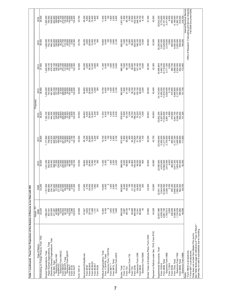| Type of Return                                                                                                                 | Actual - FY<br>2008                                                                                                                                                                                                                                                                         | 2009                                                                                                                                                                                                                                              | 2010                                                                                                                                                                                                                                                                                                          | 2011                            | 2012                    | 2013<br>Projected       | 2014                        | 2015                    | 2016                                                                                                                                                                                                                                                               |  |
|--------------------------------------------------------------------------------------------------------------------------------|---------------------------------------------------------------------------------------------------------------------------------------------------------------------------------------------------------------------------------------------------------------------------------------------|---------------------------------------------------------------------------------------------------------------------------------------------------------------------------------------------------------------------------------------------------|---------------------------------------------------------------------------------------------------------------------------------------------------------------------------------------------------------------------------------------------------------------------------------------------------------------|---------------------------------|-------------------------|-------------------------|-----------------------------|-------------------------|--------------------------------------------------------------------------------------------------------------------------------------------------------------------------------------------------------------------------------------------------------------------|--|
| Withholding on Foreign Persons, Form 1042                                                                                      | 33,434                                                                                                                                                                                                                                                                                      | 34,200                                                                                                                                                                                                                                            | 35,500                                                                                                                                                                                                                                                                                                        | 35,600                          | 36,200                  | 36,800                  | 37,600                      | 38,400                  | 39,200                                                                                                                                                                                                                                                             |  |
| Paper Exempt Organizations, Total<br>Exempt Organizations, Total                                                               | 837,441<br>1,062,491                                                                                                                                                                                                                                                                        | 856,800<br>1,191,500                                                                                                                                                                                                                              | ,221,200<br>842,800                                                                                                                                                                                                                                                                                           | 758,600<br>,177,800             | 737,800<br>1,182,100    | 205,200<br>743,500      | 226,600<br>748,100          | 752,100<br>246,500      | 755,500<br>265,300                                                                                                                                                                                                                                                 |  |
| Electronic Exempt Organizations, Total                                                                                         | 225,050                                                                                                                                                                                                                                                                                     | 334,700                                                                                                                                                                                                                                           |                                                                                                                                                                                                                                                                                                               |                                 | 444,300                 | 461,800                 | 478,400                     | 494,300                 | 509,800                                                                                                                                                                                                                                                            |  |
| Form 990, Total                                                                                                                | $\begin{array}{c} 411.265 \\ 45.882 \\ 16.674 \\ 16.765 \\ 16.765 \\ 16.765 \\ 16.765 \\ 16.765 \\ 16.766 \\ 16.766 \\ 17.766 \\ 18.810 \\ 12.810 \\ 12.810 \\ 12.810 \\ 12.810 \\ 12.810 \\ 12.810 \\ 12.810 \\ 12.810 \\ 12.810 \\ 12.810 \\ 12.810 \\ 12.810 \\ 12.810 \\ 12.810 \\ 12.$ | $\begin{array}{l} 8000000000000000\\ 85.5000000000000000\\ 85.5000000000000000\\ 85.5000000000000000\\ 85.50000000000000000\\ 85.50000000000000000\\ 85.5000000000000000\\ 85.5000000000000000\\ 85.5000000000000000\\ 85.5000000000000000\\ 85.$ | $\begin{array}{l} 37.8 \\ 38.8 \\ 39.7 \\ 39.7 \\ 39.8 \\ 39.7 \\ 39.8 \\ 39.8 \\ 39.8 \\ 39.8 \\ 39.8 \\ 39.8 \\ 39.8 \\ 39.8 \\ 39.8 \\ 39.8 \\ 39.8 \\ 39.8 \\ 39.8 \\ 39.8 \\ 39.8 \\ 39.8 \\ 39.8 \\ 39.8 \\ 39.8 \\ 39.8 \\ 39.8 \\ 39.8 \\ 39.8 \\ 39.8 \\ 39.8 \\ 39.8 \\ 39.8 \\ 39.8 \\ 39.8 \\ 39$ |                                 |                         |                         |                             |                         | $\begin{array}{l} 45.900\\ 46.900\\ 46.900\\ 46.900\\ 57.7\\ 50.900\\ 77.7\\ 46.900\\ 78.900\\ 79.900\\ 80.900\\ 79.900\\ 90.900\\ 90.900\\ 90.900\\ 90.900\\ 90.900\\ 90.900\\ 90.900\\ 90.900\\ 90.900\\ 90.900\\ 90.900\\ 90.900\\ 90.900\\ 90.900\\ 90.900\\ $ |  |
|                                                                                                                                |                                                                                                                                                                                                                                                                                             |                                                                                                                                                                                                                                                   |                                                                                                                                                                                                                                                                                                               |                                 |                         |                         |                             |                         |                                                                                                                                                                                                                                                                    |  |
| ' Electronic Form 990<br>Form990-EZ<br>Electronic Form 990-EZ<br>Form 990-PF, Total<br>Form 990-PF, Total                      |                                                                                                                                                                                                                                                                                             |                                                                                                                                                                                                                                                   |                                                                                                                                                                                                                                                                                                               |                                 |                         |                         |                             |                         |                                                                                                                                                                                                                                                                    |  |
| Form 990-T                                                                                                                     |                                                                                                                                                                                                                                                                                             |                                                                                                                                                                                                                                                   |                                                                                                                                                                                                                                                                                                               |                                 |                         |                         |                             |                         |                                                                                                                                                                                                                                                                    |  |
| Form 4720<br>Form 5227                                                                                                         |                                                                                                                                                                                                                                                                                             |                                                                                                                                                                                                                                                   |                                                                                                                                                                                                                                                                                                               |                                 |                         |                         |                             | 132,300                 | 132,400                                                                                                                                                                                                                                                            |  |
| Form 1041-A                                                                                                                    | 22,926                                                                                                                                                                                                                                                                                      | 23,400                                                                                                                                                                                                                                            | 23,500                                                                                                                                                                                                                                                                                                        | 23,500                          | 23,500                  | 23,600                  | 23,600                      | 23,700                  | 23,700                                                                                                                                                                                                                                                             |  |
| Government Entity/Bonds                                                                                                        | 47,827                                                                                                                                                                                                                                                                                      | 47,900                                                                                                                                                                                                                                            | 48,900                                                                                                                                                                                                                                                                                                        | 49,100                          | 48,800                  | 48,900                  | 49,000                      | 49,200                  | 49,300                                                                                                                                                                                                                                                             |  |
| Form 8038                                                                                                                      | 4,624                                                                                                                                                                                                                                                                                       | 4,700                                                                                                                                                                                                                                             | 4,800<br>28,900                                                                                                                                                                                                                                                                                               |                                 | 4,800                   | 4,800                   |                             | 4,800<br>28,900         | 4,800                                                                                                                                                                                                                                                              |  |
| Form 8038-GC<br>Form 8038-G                                                                                                    | 29,743<br>11,498                                                                                                                                                                                                                                                                            | 29,000<br>12,000                                                                                                                                                                                                                                  | 12,900                                                                                                                                                                                                                                                                                                        | $4,800$<br>$28,900$<br>$12,900$ | 28,900<br>12,500        | 28,900<br>12,400        | 4,800<br>28,900<br>12,400   | 12,400                  | 28,900<br>12,400                                                                                                                                                                                                                                                   |  |
| Form 8038-T                                                                                                                    | 1,731                                                                                                                                                                                                                                                                                       | 1,900                                                                                                                                                                                                                                             | 2,100                                                                                                                                                                                                                                                                                                         | 2,200                           | 2,300                   | 2,500                   | 2,600                       | 2,700                   | 2,900                                                                                                                                                                                                                                                              |  |
| Form 8328                                                                                                                      | 231                                                                                                                                                                                                                                                                                         | 300                                                                                                                                                                                                                                               | 300                                                                                                                                                                                                                                                                                                           | 300                             | 300                     | 300                     | 300                         | 300                     | 300                                                                                                                                                                                                                                                                |  |
| Political Organizations, Total                                                                                                 | 10,464                                                                                                                                                                                                                                                                                      | 10,600                                                                                                                                                                                                                                            |                                                                                                                                                                                                                                                                                                               | 10,700<br>6,300                 | 11,300                  | 10,700                  | 11,300                      | 10,800                  | 11,400                                                                                                                                                                                                                                                             |  |
| Form 1120-POL, Tota                                                                                                            | 6,169                                                                                                                                                                                                                                                                                       | 6,300                                                                                                                                                                                                                                             | $\begin{array}{c} 11,200 \\ 6,300 \end{array}$                                                                                                                                                                                                                                                                |                                 | 6,300                   | 6,400                   | 6,400                       | 6,400                   | 6,400                                                                                                                                                                                                                                                              |  |
| Electronic Form 1120-POL<br>Form 8871**                                                                                        | σ<br>1,843                                                                                                                                                                                                                                                                                  | 1,400<br>c                                                                                                                                                                                                                                        | 1,800                                                                                                                                                                                                                                                                                                         | 1,400<br>$\overline{100}$       | 1,800<br>$\frac{8}{2}$  | 100<br>1,400            | 100<br>1,800                | 100<br>1,400            | 1,800<br>$\overline{100}$                                                                                                                                                                                                                                          |  |
| Form 8872, Total                                                                                                               | 2,452                                                                                                                                                                                                                                                                                       | 2,900                                                                                                                                                                                                                                             | 3,200<br>2,400                                                                                                                                                                                                                                                                                                | 2,900                           | 3,200                   | 2,900                   | 3,200                       | 2,900<br>2,100          | 3,200                                                                                                                                                                                                                                                              |  |
| Electronic Form 8872                                                                                                           | 1,849                                                                                                                                                                                                                                                                                       | 2,100                                                                                                                                                                                                                                             |                                                                                                                                                                                                                                                                                                               | 2,100                           | 2,400                   | 2,100                   | 2,400                       |                         | 2,400                                                                                                                                                                                                                                                              |  |
| Excise, Total                                                                                                                  | 909,536                                                                                                                                                                                                                                                                                     | 958,800                                                                                                                                                                                                                                           | 968,000                                                                                                                                                                                                                                                                                                       | 972,900                         | 978,000                 | 983,500                 | 989,300                     | 995,500                 | 1,001,900                                                                                                                                                                                                                                                          |  |
| Form 11-C<br>Form 720                                                                                                          | 99,720<br>8,087                                                                                                                                                                                                                                                                             | 98,300<br>8,400                                                                                                                                                                                                                                   | 8,200<br>96,800                                                                                                                                                                                                                                                                                               | 7,900<br>95,000                 | 7,800<br>93,100         | 91,100<br>7,600         | 7,500<br>89,100             | 7,400                   | 7,300                                                                                                                                                                                                                                                              |  |
| Electronic Form 720                                                                                                            | $\frac{4}{3}$                                                                                                                                                                                                                                                                               | $\overline{0}$                                                                                                                                                                                                                                    | 300                                                                                                                                                                                                                                                                                                           | 600                             | 1,000                   | 1,500                   | 2,200                       | 87,100                  | 85,100<br>3,900                                                                                                                                                                                                                                                    |  |
| Form 730                                                                                                                       | 38,959                                                                                                                                                                                                                                                                                      | 41,100                                                                                                                                                                                                                                            | 40,800                                                                                                                                                                                                                                                                                                        | 40,200                          | 39,700                  | 39,100                  | 38,600<br>809,100           | 38,000                  |                                                                                                                                                                                                                                                                    |  |
| Electronic Form 2290<br>Form 2290                                                                                              | 13,341<br>694,488                                                                                                                                                                                                                                                                           | 747,600<br>28,400                                                                                                                                                                                                                                 | 763,300<br>38,200                                                                                                                                                                                                                                                                                             | 774,800<br>51,700               | 786,200<br>75,200       | 797,700<br>105,100      | 147,400                     | 196,100<br>820,500      | 37,500<br>832,000<br>246,700                                                                                                                                                                                                                                       |  |
| Form 8849                                                                                                                      | 68,282                                                                                                                                                                                                                                                                                      | 63,300                                                                                                                                                                                                                                            | 58,900                                                                                                                                                                                                                                                                                                        | 54,900                          | 51,300                  | 48,000                  | 45,100                      | 42,500                  | 40,100                                                                                                                                                                                                                                                             |  |
| Electronic Form 8849                                                                                                           | 9                                                                                                                                                                                                                                                                                           | 200                                                                                                                                                                                                                                               | 600                                                                                                                                                                                                                                                                                                           | 1,100                           | 1,900                   | 3,200                   | 4,500                       | 6,300                   | 8,100                                                                                                                                                                                                                                                              |  |
| Excise Taxes re Employee Plans, Form 5330                                                                                      | 23,962                                                                                                                                                                                                                                                                                      | 24,400                                                                                                                                                                                                                                            | 24,800                                                                                                                                                                                                                                                                                                        | 25,200                          | 25,600                  | 26,000                  | 26,500                      | 26,900                  | 27,300                                                                                                                                                                                                                                                             |  |
| Payment or Refund under Sec. 7519, Form 8752                                                                                   | 44,228                                                                                                                                                                                                                                                                                      | 42,900                                                                                                                                                                                                                                            | 42,800                                                                                                                                                                                                                                                                                                        | 42,700                          | 42,600                  | 42,400                  | 42,300                      | 42,200                  | 42,000                                                                                                                                                                                                                                                             |  |
| Supplemental Documents, Tota                                                                                                   | 20,637,986                                                                                                                                                                                                                                                                                  | 22,051,100                                                                                                                                                                                                                                        | 22,590,900                                                                                                                                                                                                                                                                                                    | 23,059,500                      | 23,602,200              | 24,143,500              | 24,690,800                  | 25,259,900              | 25,823,300                                                                                                                                                                                                                                                         |  |
| Form 4868, Total<br>Form 1040-X                                                                                                | 4,638,439                                                                                                                                                                                                                                                                                   | 5,044,000<br>10,326,000                                                                                                                                                                                                                           | 4,974,600                                                                                                                                                                                                                                                                                                     | 5,055,000                       | 5,207,600<br>11,524,600 | 5,355,200<br>11,819,700 | 5,493,100                   | 5,637,400<br>12,429,600 | 5,770,600<br>12,741,500                                                                                                                                                                                                                                            |  |
| Electronic Form 4868                                                                                                           | 9,661,195<br>1,783,913                                                                                                                                                                                                                                                                      | 2,328,100                                                                                                                                                                                                                                         | 10,882,600<br>2,612,500                                                                                                                                                                                                                                                                                       | 11,217,900<br>2,753,600         | 2,891,100               | 3,029,000               | $12,119,800$<br>$3,171,300$ | 3,319,500               | 3,471,600                                                                                                                                                                                                                                                          |  |
| Form 1120-X                                                                                                                    | 3,558                                                                                                                                                                                                                                                                                       | 3,700                                                                                                                                                                                                                                             | 4,000                                                                                                                                                                                                                                                                                                         | 4,400                           | 4,800                   | 5,100                   | 5,500                       | 5,800                   | 6,000                                                                                                                                                                                                                                                              |  |
| Form 7004, Total<br>Form 5558                                                                                                  | 436,548<br>5,366,384                                                                                                                                                                                                                                                                        | 455,300<br>5,658,600                                                                                                                                                                                                                              | 460,900<br>5,677,200                                                                                                                                                                                                                                                                                          | 465,900<br>5,727,300            | 470,900<br>5,801,700    | 475,900<br>5,890,800    | 480,700<br>5,988,800        | 485,500<br>6,092,300    | 490,200                                                                                                                                                                                                                                                            |  |
| Electronic Form 7004                                                                                                           | 1,134,539                                                                                                                                                                                                                                                                                   | 1,560,000                                                                                                                                                                                                                                         |                                                                                                                                                                                                                                                                                                               | 1,948,000                       | 2,046,700               | 2,127,900               | 2,204,500                   | 2,282,000               | 6,199,000<br>2,360,700                                                                                                                                                                                                                                             |  |
| Form 8868, Total                                                                                                               | 531,862                                                                                                                                                                                                                                                                                     | 563,500                                                                                                                                                                                                                                           | 1,803,400<br>591,600<br>92,400                                                                                                                                                                                                                                                                                | 588,900                         | 592,600                 | 596,900                 | 602,900<br>172,800          | 609,400                 | 616,000                                                                                                                                                                                                                                                            |  |
| Electronic Form 8868                                                                                                           | 49,098                                                                                                                                                                                                                                                                                      | 69,700                                                                                                                                                                                                                                            |                                                                                                                                                                                                                                                                                                               | 111,600                         | 131,300                 | 151,700                 |                             | 194,500                 | 216,700                                                                                                                                                                                                                                                            |  |
| Table does not contain Non-Master File counts.<br>* Form 990-N is all electronic.<br>** Form 8871 is all electronic.<br>Notes: |                                                                                                                                                                                                                                                                                             |                                                                                                                                                                                                                                                   |                                                                                                                                                                                                                                                                                                               |                                 |                         |                         |                             |                         | Office of Research, Forecasting and Service Analysis<br>Fall 2009 Document 6292<br>Internal Revenue Service                                                                                                                                                        |  |
| See Table Notes page for definitions of "Type of Return."                                                                      |                                                                                                                                                                                                                                                                                             |                                                                                                                                                                                                                                                   |                                                                                                                                                                                                                                                                                                               |                                 |                         |                         |                             |                         |                                                                                                                                                                                                                                                                    |  |
| Detail may not add to subtotal/total due to rounding.                                                                          |                                                                                                                                                                                                                                                                                             |                                                                                                                                                                                                                                                   |                                                                                                                                                                                                                                                                                                               |                                 |                         |                         |                             |                         |                                                                                                                                                                                                                                                                    |  |

7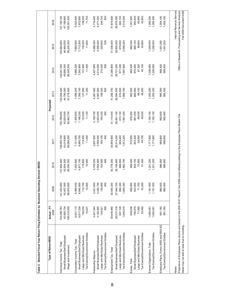| Type of Return/BOD                                                                                                                | Actual - FY |             |                                                            |             |             | Projected  |             |                                                      |                          |  |
|-----------------------------------------------------------------------------------------------------------------------------------|-------------|-------------|------------------------------------------------------------|-------------|-------------|------------|-------------|------------------------------------------------------|--------------------------|--|
|                                                                                                                                   | 2008        | 2009        | 2010                                                       | 2011        | 2012        | 2013       | 2014        | 2015                                                 | 2016                     |  |
| Individual Income Tax, Total                                                                                                      | 153,298,793 | 141,432,800 | 137,694,800                                                | 138,085,100 | 139,788,600 | 42,008,400 | 144,041,000 | 145,664,800                                          | 147,190,100              |  |
| Small Business/Self Employed                                                                                                      | 43,965,734  | 42,457,000  | 42,654,500                                                 | 43,018,900  | 43,824,900  | 44,790,000 | 45,695,500  | 46,464,500                                           | 47,188,600               |  |
| Wage and Investment                                                                                                               | 109,333,059 | 98,975,800  | 95,040,300                                                 | 95,066,200  | 95,963,700  | 97,218,400 | 98,345,500  | 99,200,300                                           | 100,001,500              |  |
| Corporation Income Tax, Total                                                                                                     | 6,937,115   | 6,969,400   | 7,003,800                                                  | 7,121,000   | 7,300,800   | 7,498,200  | 7,686,200   | 7,860,500                                            | 8,023,400                |  |
| Small Business/Self Employed                                                                                                      | 6,817,239   | 6,845,900   | 6,877,100                                                  | 6,990,700   | 7,166,200   | 7,359,100  | 7,542,900   | 7,713,300                                            | 7,872,600                |  |
| Large and Mid-Sized Business                                                                                                      | 109,239     | 112,700     | 115,800                                                    | 119,300     | 123,500     | 127,800    | 131,800     | 135,500                                              | 139,000                  |  |
| Tax Exempt/Government Entities                                                                                                    | 10,637      | 10,800      | 10,900                                                     | 11,000      | 11,100      | 11,300     | 11,400      | 11,600                                               | 11,700                   |  |
| Partnership Returns                                                                                                               | 3,307,344   | 3,421,900   | 3,709,200                                                  | 3,937,900   | 4,106,700   | 4,267,400  | 4,427,900   | 4,588,300                                            | 4,716,400                |  |
| Small Business/Self Employed                                                                                                      | 3,182,465   | 3,282,700   | 3,554,900                                                  | 3,768,500   | 3,922,000   | 4,067,600  | 4,213,000   | 4,358,200                                            | 4,471,200                |  |
| Large and Mid-Sized Business                                                                                                      | 124,521     | 138,800     | 153,900                                                    | 169,100     | 184,200     | 199,300    | 214,500     | 229,600                                              | 244,700                  |  |
| Tax Exempt/Government Entities                                                                                                    | 358         | 400         | 400                                                        | 400         | 400         | 500        | 500         | 500                                                  | 500                      |  |
| Employment Tax, Total                                                                                                             | 30,649,460  | 30,550,300  | 30,778,300                                                 | 30,955,800  | 31,114,400  | 31,258,700 | 31,395,800  | 31,536,000                                           | 31,674,600               |  |
| Small Business/Self Employed                                                                                                      | 28,037,316  | 27,940,700  | 28,148,900                                                 | 28,314,200  | 28,461,100  | 28,594,500 | 28,721,000  | 28,850,300                                           | 28,978,300               |  |
| Large and Mid-Sized Business                                                                                                      | 667,128     | 664,300     | 666,600                                                    | 669,400     | 672,100     | 674,600    | 677,000     | 679,500                                              | 682,100                  |  |
| Tax Exempt/Government Entities                                                                                                    | 1,945,016   | 1,945,300   | 1,962,700                                                  | 1,972,200   | 1,981,300   | 1,989,700  | 1,997,900   | 2,006,200                                            | 2,014,200                |  |
| Excise, Total                                                                                                                     | 909,536     | 958,800     | 968,000                                                    | 972,900     | 978,000     | 983,500    | 989,300     | 995,500                                              | 1,001,900                |  |
| Small Business/Self Employed                                                                                                      | 784,979     | 833,900     | 845,700                                                    | 853,300     | 861,000     | 868,900    | 876,900     | 885,100                                              | 893,400                  |  |
| Large and Mid-Sized Business                                                                                                      | 71,066      | 71,700      | 70,900                                                     | 69,900      | 69,000      | 68,100     | 67,300      | 66,600                                               | 65,900                   |  |
| Tax Exempt/Government Entities                                                                                                    | 53,492      | 53,200      | 51,400                                                     | 49,700      | 48,000      | 46,500     | 45,100      | 43,800                                               | 42,600                   |  |
| Exempt Organization, Total                                                                                                        | 1,062,491   | 1,191,500   | 1,221,200                                                  | 1,177,800   | 1,182,100   | 1,205,200  | 1,226,600   | 1,246,500                                            | 1,265,300                |  |
| Tax Exempt/Government Entities                                                                                                    | 1,062,491   | 1,191,500   | 1,221,200                                                  | 1,177,800   | 1,182,100   | 1,205,200  | 1,226,600   | 1,246,500                                            | 1,265,300                |  |
| Employee Plans, Forms 5500 and 5500-EZ                                                                                            | 981,160     | 984,000     | 986,900                                                    | 989,800     | 992,600     | 995,500    | 998,400     | 1,001,200                                            | 1,004,100                |  |
| Tax Exempt/Government Entities                                                                                                    | 981,160     | 984,000     | 986,900                                                    | 989,800     | 992,600     | 995,500    | 998,400     | 1,001,200                                            | 1,004,100                |  |
| Notes:                                                                                                                            |             |             |                                                            |             |             |            |             |                                                      | Internal Revenue Service |  |
| Projections of Employee Plans returns are based on the 208-18-01 Report; the 2008<br>Detail may not add to total due to rounding. |             |             | count reflects postings to the Employee Plans Master File. |             |             |            |             | Office of Research, Forecasting and Service Analysis | Fall 2009 Document 6292  |  |
|                                                                                                                                   |             |             |                                                            |             |             |            |             |                                                      |                          |  |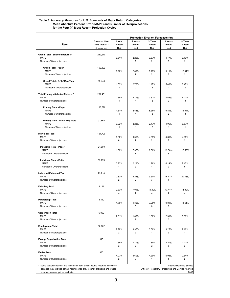#### **Table 3. Accuracy Measures for U.S. Forecasts of Major Return Categories Mean Absolute Percent Error (MAPE) and Number of Overprojections for the Four (4) Most Recent Projection Cycles**

|                                                                                 |                              |                         |                         | Projection Error on Forecasts for: |                         |                          |
|---------------------------------------------------------------------------------|------------------------------|-------------------------|-------------------------|------------------------------------|-------------------------|--------------------------|
|                                                                                 | <b>Calendar Year</b>         | 1 Year                  | 2 Years                 | 3 Years                            | 4 Years                 | 5 Years                  |
| Item                                                                            | 2008 Actual *<br>(thousands) | Ahead<br>$N = 4$        | Ahead<br>$N=4$          | Ahead<br>$N=4$                     | Ahead<br>$N = 4$        | Ahead<br>$N=4$           |
|                                                                                 |                              |                         |                         |                                    |                         |                          |
| Grand Total - Selected Returns *                                                | 252,270                      |                         |                         |                                    |                         |                          |
| <b>MAPE</b><br>Number of Overprojections                                        |                              | 0.51%<br>$\mathbf{1}$   | 2.20%<br>$\overline{2}$ | 3.57%<br>$\overline{2}$            | 4.77%<br>3              | 6.13%<br>3               |
|                                                                                 |                              |                         |                         |                                    |                         |                          |
| <b>Grand Total - Paper</b>                                                      | 152,822                      |                         |                         |                                    |                         |                          |
| <b>MAPE</b>                                                                     |                              | 0.96%                   | 2.89%                   | 5.25%                              | 9.11%                   | 12.01%                   |
| Number of Overprojections                                                       |                              | 1                       | 1                       | $\overline{2}$                     | 3                       | 3                        |
| Grand Total - E-file/ Mag Tape                                                  | 99,448                       |                         |                         |                                    |                         |                          |
| <b>MAPE</b>                                                                     |                              | 1.03%                   | 2.78%                   | 1.17%                              | 5.43%                   | 6.47%                    |
| Number of Overprojections                                                       |                              | 1                       | $\overline{2}$          | $\overline{2}$                     | 1                       | $\Omega$                 |
| Total Primary - Selected Returns *                                              | 231,461                      |                         |                         |                                    |                         |                          |
| <b>MAPE</b>                                                                     |                              | 0.68%                   | 2.19%                   | 3.62%                              | 4.65%                   | 6.47%                    |
| Number of Overprojections                                                       |                              | 1                       | $\mathbf{1}$            | $\overline{2}$                     | $\overline{2}$          | 3                        |
| <b>Primary Total - Paper</b>                                                    | 133,796                      |                         |                         |                                    |                         |                          |
| <b>MAPE</b>                                                                     |                              | 1.51%                   | 2.54%                   | 5.36%                              | 9.81%                   | 11.04%                   |
| Number of Overprojections                                                       |                              | 1                       | $\mathbf{1}$            | $\overline{2}$                     | $\overline{2}$          | 3                        |
| Primary Total - E-file/ Mag Tape                                                | 97,665                       |                         |                         |                                    |                         |                          |
| <b>MAPE</b>                                                                     |                              | 0.92%                   | 2.28%                   | 2.17%                              | 4.96%                   | 6.57%                    |
| Number of Overprojections                                                       |                              | 1                       | $\mathbf{1}$            | $\overline{2}$                     | 1                       | $\mathbf{1}$             |
| <b>Individual Total</b>                                                         | 154.709                      |                         |                         |                                    |                         |                          |
| <b>MAPE</b>                                                                     |                              | 0.60%                   | 3.35%                   | 4.05%                              | 4.65%                   | 4.98%                    |
| Number of Overprojections                                                       |                              | 0                       | $\mathbf{1}$            | $\overline{2}$                     | $\overline{2}$          | 3                        |
|                                                                                 | 64,059                       |                         |                         |                                    |                         |                          |
| Individual Total - Paper<br><b>MAPE</b>                                         |                              | 1.38%                   | 7.37%                   | 8.36%                              | 13.36%                  | 16.58%                   |
| Number of Overprojections                                                       |                              | $\overline{2}$          | 1                       | $\overline{2}$                     | 3                       | 3                        |
|                                                                                 |                              |                         |                         |                                    |                         |                          |
| Individual Total - E-file<br><b>MAPE</b>                                        | 89,773                       | 0.93%                   | 2.29%                   | 1.96%                              | 6.14%                   | 7.45%                    |
| Number of Overprojections                                                       |                              | $\mathbf{1}$            | $\overline{2}$          | $\mathbf{1}$                       | $\mathbf 0$             | 0                        |
|                                                                                 |                              |                         |                         |                                    |                         |                          |
| <b>Individual Estimated Tax</b><br><b>MAPE</b>                                  | 29.218                       | 2.63%                   | 5.28%                   | 9.30%                              | 16.41%                  | 29.46%                   |
| Number of Overprojections                                                       |                              | $\overline{2}$          | $\overline{2}$          | 3                                  | 4                       | 4                        |
|                                                                                 |                              |                         |                         |                                    |                         |                          |
| <b>Fiduciary Total</b><br><b>MAPE</b>                                           | 3,111                        | 2.33%                   | 7.01%                   | 11.39%                             | 13.41%                  | 14.39%                   |
| Number of Overprojections                                                       |                              | 4                       | 4                       | 4                                  | 4                       | 4                        |
|                                                                                 |                              |                         |                         |                                    |                         |                          |
| <b>Partnership Total</b><br><b>MAPE</b>                                         | 3,349                        |                         |                         |                                    |                         |                          |
| Number of Overprojections                                                       |                              | 1.70%<br>$\mathbf{1}$   | 4.30%<br>$\mathbf 0$    | 7.35%<br>$\mathbf 0$               | 9.81%<br>0              | 11.61%<br>$\mathbf{1}$   |
|                                                                                 |                              |                         |                         |                                    |                         |                          |
| <b>Corporation Total</b>                                                        | 6,860                        |                         |                         |                                    |                         |                          |
| <b>MAPE</b><br>Number of Overprojections                                        |                              | 2.01%<br>$\mathbf{1}$   | 1.86%<br>$\overline{c}$ | 1.32%<br>$\mathbf{1}$              | 2.31%<br>$\mathbf 0$    | 5.09%<br>1               |
|                                                                                 |                              |                         |                         |                                    |                         |                          |
| <b>Employment Total</b>                                                         | 30,062                       |                         |                         |                                    |                         |                          |
| <b>MAPE</b><br>Number of Overprojections                                        |                              | 2.98%<br>$\overline{2}$ | 3.35%<br>$\overline{2}$ | 3.36%<br>$\mathbf{1}$              | 3.25%<br>$\overline{2}$ | 2.10%<br>$\mathbf{1}$    |
|                                                                                 |                              |                         |                         |                                    |                         |                          |
| <b>Exempt Organization Total</b>                                                | 918                          |                         |                         |                                    |                         |                          |
| MAPE<br>Number of Overprojections                                               |                              | 2.56%<br>$\overline{c}$ | 4.17%<br>$\overline{c}$ | 1.69%<br>$\overline{2}$            | 3.27%<br>3              | 7.27%<br>$\overline{2}$  |
|                                                                                 |                              |                         |                         |                                    |                         |                          |
| <b>Excise Total</b>                                                             | 935                          |                         |                         |                                    |                         |                          |
| <b>MAPE</b>                                                                     |                              | 4.07%                   | 3.60%                   | 4.39%                              | 5.03%                   | 7.54%                    |
| Number of Overprojections                                                       |                              | $\overline{2}$          | 2                       | $\mathbf{1}$                       | $\mathbf{1}$            | $\overline{2}$           |
| Some actuals shown in this table differ from official counts reported elsewhere |                              |                         |                         |                                    |                         | Internal Revenue Service |

accuracy can not yet be evaluated. 2009

because they exclude certain return series only recently projected and whose Office of Research, Forecasting and Service Analysis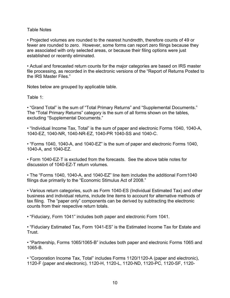#### Table Notes

• Projected volumes are rounded to the nearest hundredth, therefore counts of 49 or fewer are rounded to zero. However, some forms can report zero filings because they are associated with only selected areas, or because their filing options were just established or recently eliminated.

• Actual and forecasted return counts for the major categories are based on IRS master file processing, as recorded in the electronic versions of the "Report of Returns Posted to the IRS Master Files."

Notes below are grouped by applicable table.

Table 1:

• "Grand Total" is the sum of "Total Primary Returns" and "Supplemental Documents." The "Total Primary Returns" category is the sum of all forms shown on the tables, excluding "Supplemental Documents."

• "Individual Income Tax, Total" is the sum of paper and electronic Forms 1040, 1040-A, 1040-EZ, 1040-NR, 1040-NR-EZ, 1040-PR 1040-SS and 1040-C.

• "Forms 1040, 1040-A, and 1040-EZ" is the sum of paper and electronic Forms 1040, 1040-A, and 1040-EZ.

• Form 1040-EZ-T is excluded from the forecasts. See the above table notes for discussion of 1040-EZ-T return volumes.

• The "Forms 1040, 1040-A, and 1040-EZ" line item includes the additional Form1040 filings due primarily to the "Economic Stimulus Act of 2008."

• Various return categories, such as Form 1040-ES (Individual Estimated Tax) and other business and individual returns, include line items to account for alternative methods of tax filing. The "paper only" components can be derived by subtracting the electronic counts from their respective return totals.

• "Fiduciary, Form 1041" includes both paper and electronic Form 1041.

• "Fiduciary Estimated Tax, Form 1041-ES" is the Estimated Income Tax for Estate and Trust.

• "Partnership, Forms 1065/1065-B" includes both paper and electronic Forms 1065 and 1065-B.

• "Corporation Income Tax, Total" includes Forms 1120/1120-A (paper and electronic), 1120-F (paper and electronic), 1120-H, 1120-L, 1120-ND, 1120-PC, 1120-SF, 1120-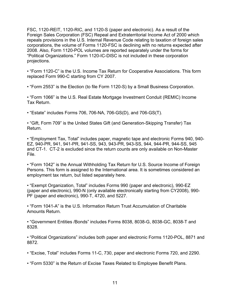FSC, 1120-REIT, 1120-RIC, and 1120-S (paper and electronic). As a result of the Foreign Sales Corporation (FSC) Repeal and Extraterritorial Income Act of 2000 which repeals provisions in the U.S. Internal Revenue Code relating to taxation of foreign sales corporations, the volume of Forms 1120-FSC is declining with no returns expected after 2008. Also, Form 1120-POL volumes are reported separately under the forms for "Political Organizations." Form 1120-IC-DISC is not included in these corporation projections.

• "Form 1120-C" is the U.S. Income Tax Return for Cooperative Associations. This form replaced Form 990-C starting from CY 2007.

• "Form 2553" is the Election (to file Form 1120-S) by a Small Business Corporation.

• "Form 1066" is the U.S. Real Estate Mortgage Investment Conduit (REMIC) Income Tax Return.

• "Estate" includes Forms 706, 706-NA, 706-GS(D), and 706-GS(T).

• "Gift, Form 709" is the United States Gift (and Generation-Skipping Transfer) Tax Return.

• "Employment Tax, Total" includes paper, magnetic tape and electronic Forms 940, 940- EZ, 940-PR, 941, 941-PR, 941-SS, 943, 943-PR, 943-SS, 944, 944-PR, 944-SS, 945 and CT-1. CT-2 is excluded since the return counts are only available on Non-Master File.

• "Form 1042" is the Annual Withholding Tax Return for U.S. Source Income of Foreign Persons. This form is assigned to the International area. It is sometimes considered an employment tax return, but listed separately here.

• "Exempt Organization, Total" includes Forms 990 (paper and electronic), 990-EZ (paper and electronic), 990-N (only available electronically starting from CY2008), 990- PF (paper and electronic), 990-T, 4720, and 5227.

• "Form 1041-A" is the U.S. Information Return Trust Accumulation of Charitable Amounts Return.

• "Government Entities /Bonds" includes Forms 8038, 8038-G, 8038-GC, 8038-T and 8328.

• "Political Organizations" includes both paper and electronic Forms 1120-POL, 8871 and 8872.

- "Excise, Total" includes Forms 11-C, 730, paper and electronic Forms 720, and 2290.
- "Form 5330" is the Return of Excise Taxes Related to Employee Benefit Plans.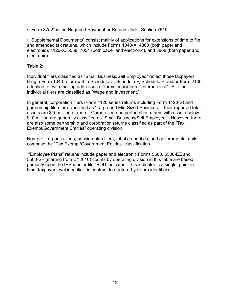• "Form 8752" is the Required Payment or Refund Under Section 7519.

• "Supplemental Documents" consist mainly of applications for extensions of time to file and amended tax returns, which include Forms 1040-X, 4868 (both paper and electronic), 1120-X, 5558, 7004 (both paper and electronic), and 8868 (both paper and electronic).

Table 2:

Individual filers classified as "Small Business/Self Employed" reflect those taxpayers filing a Form 1040 return with a Schedule C, Schedule F, Schedule E and/or Form 2106 attached, or with mailing addresses or forms considered "International". All other individual filers are classified as "Wage and Investment."

In general, corporation filers (Form 1120 series returns including Form 1120-S) and partnership filers are classified as "Large and Mid-Sized Business" if their reported total assets are \$10 million or more. Corporation and partnership returns with assets below \$10 million are generally classified as "Small Business/Self Employed." However, there are also some partnership and corporation returns classified as part of the "Tax Exempt/Government Entities" operating division.

Non-profit organizations, pension plan filers, tribal authorities, and governmental units comprise the "Tax Exempt/Government Entities" classification.

 "Employee Plans" returns include paper and electronic Forms 5500, 5500-EZ and 5500-SF (starting from CY2010) counts by operating division in this table are based primarily upon the IRS master file "BOD indicator." This indicator is a single, point-intime, taxpayer level identifier (in contrast to a return-by-return identifier).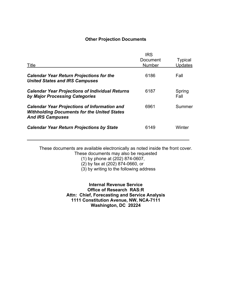#### **Other Projection Documents**

| Title                                                                                                                                | <b>IRS</b><br>Document<br><b>Number</b> | <b>Typical</b><br><b>Updates</b> |
|--------------------------------------------------------------------------------------------------------------------------------------|-----------------------------------------|----------------------------------|
| <b>Calendar Year Return Projections for the</b><br><b>United States and IRS Campuses</b>                                             | 6186                                    | Fall                             |
| <b>Calendar Year Projections of Individual Returns</b><br>by Major Processing Categories                                             | 6187                                    | Spring<br>Fall                   |
| <b>Calendar Year Projections of Information and</b><br><b>Withholding Documents for the United States</b><br><b>And IRS Campuses</b> | 6961                                    | Summer                           |
| <b>Calendar Year Return Projections by State</b>                                                                                     | 6149                                    | Winter                           |

These documents are available electronically as noted inside the front cover. These documents may also be requested

(1) by phone at (202) 874-0607,

(2) by fax at (202) 874-0660, or

(3) by writing to the following address

**Internal Revenue Service Office of Research RAS:R Attn: Chief, Forecasting and Service Analysis 1111 Constitution Avenue, NW, NCA-7111 Washington, DC 20224**